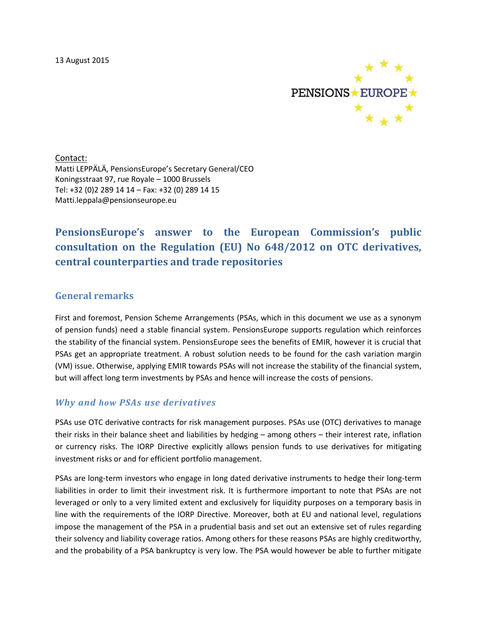

Contact: Matti LEPPÄLÄ, PensionsEurope's Secretary General/CEO Koningsstraat 97, rue Royale – 1000 Brussels Tel: +32 (0)2 289 14 14 – Fax: +32 (0) 289 14 15 Matti.leppala@pensionseurope.eu

# **PensionsEurope's answer to the European Commission's public consultation on the Regulation (EU) No 648/2012 on OTC derivatives, central counterparties and trade repositories**

### **General remarks**

First and foremost, Pension Scheme Arrangements (PSAs, which in this document we use as a synonym of pension funds) need a stable financial system. PensionsEurope supports regulation which reinforces the stability of the financial system. PensionsEurope sees the benefits of EMIR, however it is crucial that PSAs get an appropriate treatment. A robust solution needs to be found for the cash variation margin (VM) issue. Otherwise, applying EMIR towards PSAs will not increase the stability of the financial system, but will affect long term investments by PSAs and hence will increase the costs of pensions.

### *Why and how PSAs use derivatives*

PSAs use OTC derivative contracts for risk management purposes. PSAs use (OTC) derivatives to manage their risks in their balance sheet and liabilities by hedging – among others – their interest rate, inflation or currency risks. The IORP Directive explicitly allows pension funds to use derivatives for mitigating investment risks or and for efficient portfolio management.

PSAs are long-term investors who engage in long dated derivative instruments to hedge their long-term liabilities in order to limit their investment risk. It is furthermore important to note that PSAs are not leveraged or only to a very limited extent and exclusively for liquidity purposes on a temporary basis in line with the requirements of the IORP Directive. Moreover, both at EU and national level, regulations impose the management of the PSA in a prudential basis and set out an extensive set of rules regarding their solvency and liability coverage ratios. Among others for these reasons PSAs are highly creditworthy, and the probability of a PSA bankruptcy is very low. The PSA would however be able to further mitigate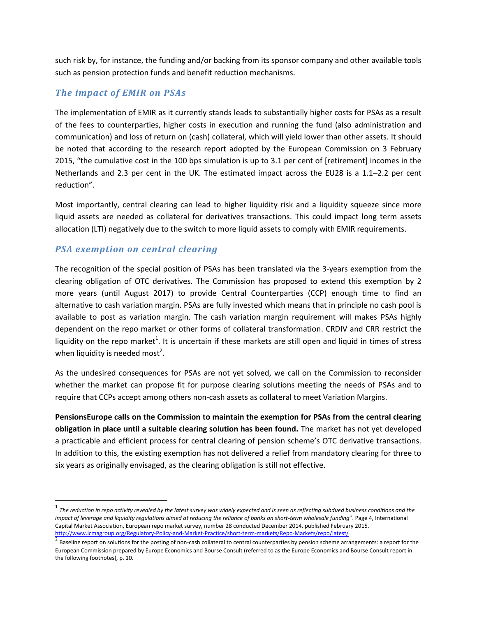such risk by, for instance, the funding and/or backing from its sponsor company and other available tools such as pension protection funds and benefit reduction mechanisms.

### *The impact of EMIR on PSAs*

The implementation of EMIR as it currently stands leads to substantially higher costs for PSAs as a result of the fees to counterparties, higher costs in execution and running the fund (also administration and communication) and loss of return on (cash) collateral, which will yield lower than other assets. It should be noted that according to the research report adopted by the European Commission on 3 February 2015, "the cumulative cost in the 100 bps simulation is up to 3.1 per cent of [retirement] incomes in the Netherlands and 2.3 per cent in the UK. The estimated impact across the EU28 is a 1.1–2.2 per cent reduction".

Most importantly, central clearing can lead to higher liquidity risk and a liquidity squeeze since more liquid assets are needed as collateral for derivatives transactions. This could impact long term assets allocation (LTI) negatively due to the switch to more liquid assets to comply with EMIR requirements.

### *PSA exemption on central clearing*

 $\overline{a}$ 

The recognition of the special position of PSAs has been translated via the 3-years exemption from the clearing obligation of OTC derivatives. The Commission has proposed to extend this exemption by 2 more years (until August 2017) to provide Central Counterparties (CCP) enough time to find an alternative to cash variation margin. PSAs are fully invested which means that in principle no cash pool is available to post as variation margin. The cash variation margin requirement will makes PSAs highly dependent on the repo market or other forms of collateral transformation. CRDIV and CRR restrict the liquidity on the repo market<sup>1</sup>. It is uncertain if these markets are still open and liquid in times of stress when liquidity is needed most<sup>2</sup>.

As the undesired consequences for PSAs are not yet solved, we call on the Commission to reconsider whether the market can propose fit for purpose clearing solutions meeting the needs of PSAs and to require that CCPs accept among others non-cash assets as collateral to meet Variation Margins.

**PensionsEurope calls on the Commission to maintain the exemption for PSAs from the central clearing obligation in place until a suitable clearing solution has been found.** The market has not yet developed a practicable and efficient process for central clearing of pension scheme's OTC derivative transactions. In addition to this, the existing exemption has not delivered a relief from mandatory clearing for three to six years as originally envisaged, as the clearing obligation is still not effective.

<sup>&</sup>lt;sup>1</sup> The reduction in repo activity revealed by the latest survey was widely expected and is seen as reflecting subdued business conditions and the *impact of leverage and liquidity regulations aimed at reducing the reliance of banks on short-term wholesale funding*". Page 4, International Capital Market Association, European repo market survey, number 28 conducted December 2014, published February 2015. <http://www.icmagroup.org/Regulatory-Policy-and-Market-Practice/short-term-markets/Repo-Markets/repo/latest/>

<sup>2</sup> Baseline report on solutions for the posting of non-cash collateral to central counterparties by pension scheme arrangements: a report for the European Commission prepared by Europe Economics and Bourse Consult (referred to as the Europe Economics and Bourse Consult report in the following footnotes), p. 10.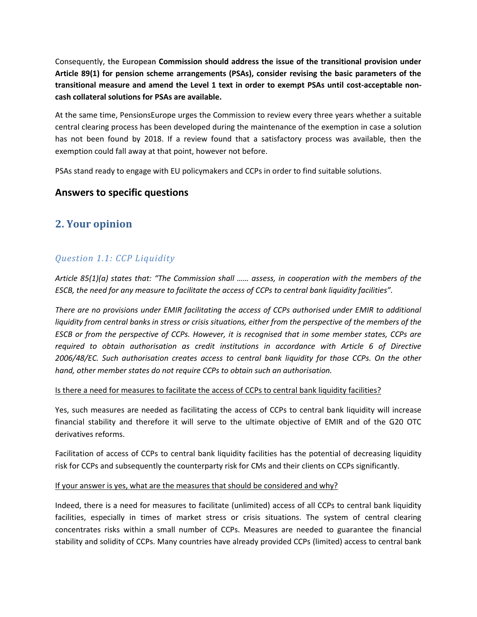Consequently, **the European Commission should address the issue of the transitional provision under Article 89(1) for pension scheme arrangements (PSAs), consider revising the basic parameters of the transitional measure and amend the Level 1 text in order to exempt PSAs until cost-acceptable noncash collateral solutions for PSAs are available.** 

At the same time, PensionsEurope urges the Commission to review every three years whether a suitable central clearing process has been developed during the maintenance of the exemption in case a solution has not been found by 2018. If a review found that a satisfactory process was available, then the exemption could fall away at that point, however not before.

PSAs stand ready to engage with EU policymakers and CCPs in order to find suitable solutions.

### **Answers to specific questions**

## **2. Your opinion**

## *Question 1.1: CCP Liquidity*

*Article 85(1)(a) states that: "The Commission shall …… assess, in cooperation with the members of the ESCB, the need for any measure to facilitate the access of CCPs to central bank liquidity facilities".*

*There are no provisions under EMIR facilitating the access of CCPs authorised under EMIR to additional liquidity from central banks in stress or crisis situations, either from the perspective of the members of the ESCB or from the perspective of CCPs. However, it is recognised that in some member states, CCPs are required to obtain authorisation as credit institutions in accordance with Article 6 of Directive 2006/48/EC. Such authorisation creates access to central bank liquidity for those CCPs. On the other hand, other member states do not require CCPs to obtain such an authorisation.*

#### Is there a need for measures to facilitate the access of CCPs to central bank liquidity facilities?

Yes, such measures are needed as facilitating the access of CCPs to central bank liquidity will increase financial stability and therefore it will serve to the ultimate objective of EMIR and of the G20 OTC derivatives reforms.

Facilitation of access of CCPs to central bank liquidity facilities has the potential of decreasing liquidity risk for CCPs and subsequently the counterparty risk for CMs and their clients on CCPs significantly.

#### If your answer is yes, what are the measures that should be considered and why?

Indeed, there is a need for measures to facilitate (unlimited) access of all CCPs to central bank liquidity facilities, especially in times of market stress or crisis situations. The system of central clearing concentrates risks within a small number of CCPs. Measures are needed to guarantee the financial stability and solidity of CCPs. Many countries have already provided CCPs (limited) access to central bank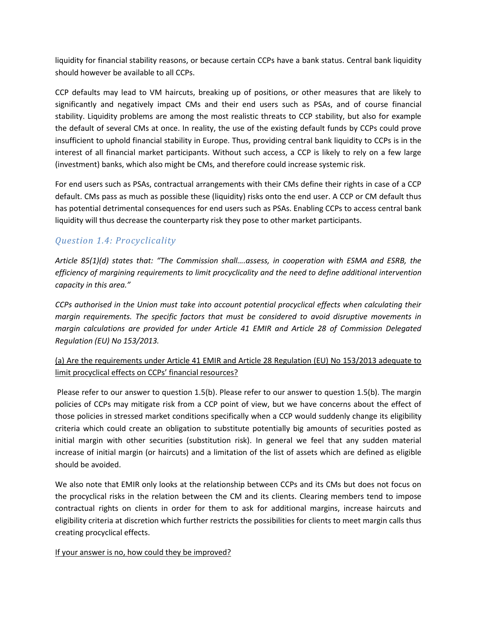liquidity for financial stability reasons, or because certain CCPs have a bank status. Central bank liquidity should however be available to all CCPs.

CCP defaults may lead to VM haircuts, breaking up of positions, or other measures that are likely to significantly and negatively impact CMs and their end users such as PSAs, and of course financial stability. Liquidity problems are among the most realistic threats to CCP stability, but also for example the default of several CMs at once. In reality, the use of the existing default funds by CCPs could prove insufficient to uphold financial stability in Europe. Thus, providing central bank liquidity to CCPs is in the interest of all financial market participants. Without such access, a CCP is likely to rely on a few large (investment) banks, which also might be CMs, and therefore could increase systemic risk.

For end users such as PSAs, contractual arrangements with their CMs define their rights in case of a CCP default. CMs pass as much as possible these (liquidity) risks onto the end user. A CCP or CM default thus has potential detrimental consequences for end users such as PSAs. Enabling CCPs to access central bank liquidity will thus decrease the counterparty risk they pose to other market participants.

## *Question 1.4: Procyclicality*

*Article 85(1)(d) states that: "The Commission shall….assess, in cooperation with ESMA and ESRB, the efficiency of margining requirements to limit procyclicality and the need to define additional intervention capacity in this area."*

*CCPs authorised in the Union must take into account potential procyclical effects when calculating their margin requirements. The specific factors that must be considered to avoid disruptive movements in margin calculations are provided for under Article 41 EMIR and Article 28 of Commission Delegated Regulation (EU) No 153/2013.*

### (a) Are the requirements under Article 41 EMIR and Article 28 Regulation (EU) No 153/2013 adequate to limit procyclical effects on CCPs' financial resources?

Please refer to our answer to question 1.5(b). Please refer to our answer to question 1.5(b). The margin policies of CCPs may mitigate risk from a CCP point of view, but we have concerns about the effect of those policies in stressed market conditions specifically when a CCP would suddenly change its eligibility criteria which could create an obligation to substitute potentially big amounts of securities posted as initial margin with other securities (substitution risk). In general we feel that any sudden material increase of initial margin (or haircuts) and a limitation of the list of assets which are defined as eligible should be avoided.

We also note that EMIR only looks at the relationship between CCPs and its CMs but does not focus on the procyclical risks in the relation between the CM and its clients. Clearing members tend to impose contractual rights on clients in order for them to ask for additional margins, increase haircuts and eligibility criteria at discretion which further restricts the possibilities for clients to meet margin calls thus creating procyclical effects.

If your answer is no, how could they be improved?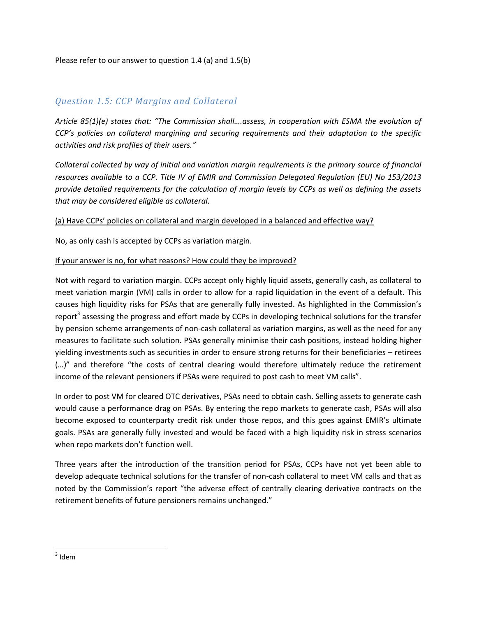### *Question 1.5: CCP Margins and Collateral*

*Article 85(1)(e) states that: "The Commission shall….assess, in cooperation with ESMA the evolution of CCP's policies on collateral margining and securing requirements and their adaptation to the specific activities and risk profiles of their users."*

*Collateral collected by way of initial and variation margin requirements is the primary source of financial resources available to a CCP. Title IV of EMIR and Commission Delegated Regulation (EU) No 153/2013 provide detailed requirements for the calculation of margin levels by CCPs as well as defining the assets that may be considered eligible as collateral.*

#### (a) Have CCPs' policies on collateral and margin developed in a balanced and effective way?

No, as only cash is accepted by CCPs as variation margin.

#### If your answer is no, for what reasons? How could they be improved?

Not with regard to variation margin. CCPs accept only highly liquid assets, generally cash, as collateral to meet variation margin (VM) calls in order to allow for a rapid liquidation in the event of a default. This causes high liquidity risks for PSAs that are generally fully invested. As highlighted in the Commission's report<sup>3</sup> assessing the progress and effort made by CCPs in developing technical solutions for the transfer by pension scheme arrangements of non-cash collateral as variation margins, as well as the need for any measures to facilitate such solution. PSAs generally minimise their cash positions, instead holding higher yielding investments such as securities in order to ensure strong returns for their beneficiaries – retirees (…)" and therefore "the costs of central clearing would therefore ultimately reduce the retirement income of the relevant pensioners if PSAs were required to post cash to meet VM calls".

In order to post VM for cleared OTC derivatives, PSAs need to obtain cash. Selling assets to generate cash would cause a performance drag on PSAs. By entering the repo markets to generate cash, PSAs will also become exposed to counterparty credit risk under those repos, and this goes against EMIR's ultimate goals. PSAs are generally fully invested and would be faced with a high liquidity risk in stress scenarios when repo markets don't function well.

Three years after the introduction of the transition period for PSAs, CCPs have not yet been able to develop adequate technical solutions for the transfer of non-cash collateral to meet VM calls and that as noted by the Commission's report "the adverse effect of centrally clearing derivative contracts on the retirement benefits of future pensioners remains unchanged."

 $3$  Idem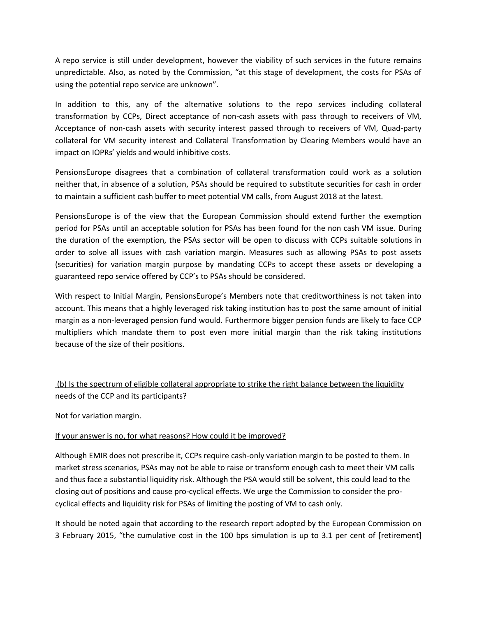A repo service is still under development, however the viability of such services in the future remains unpredictable. Also, as noted by the Commission, "at this stage of development, the costs for PSAs of using the potential repo service are unknown".

In addition to this, any of the alternative solutions to the repo services including collateral transformation by CCPs, Direct acceptance of non-cash assets with pass through to receivers of VM, Acceptance of non-cash assets with security interest passed through to receivers of VM, Quad-party collateral for VM security interest and Collateral Transformation by Clearing Members would have an impact on IOPRs' yields and would inhibitive costs.

PensionsEurope disagrees that a combination of collateral transformation could work as a solution neither that, in absence of a solution, PSAs should be required to substitute securities for cash in order to maintain a sufficient cash buffer to meet potential VM calls, from August 2018 at the latest.

PensionsEurope is of the view that the European Commission should extend further the exemption period for PSAs until an acceptable solution for PSAs has been found for the non cash VM issue. During the duration of the exemption, the PSAs sector will be open to discuss with CCPs suitable solutions in order to solve all issues with cash variation margin. Measures such as allowing PSAs to post assets (securities) for variation margin purpose by mandating CCPs to accept these assets or developing a guaranteed repo service offered by CCP's to PSAs should be considered.

With respect to Initial Margin, PensionsEurope's Members note that creditworthiness is not taken into account. This means that a highly leveraged risk taking institution has to post the same amount of initial margin as a non-leveraged pension fund would. Furthermore bigger pension funds are likely to face CCP multipliers which mandate them to post even more initial margin than the risk taking institutions because of the size of their positions.

## (b) Is the spectrum of eligible collateral appropriate to strike the right balance between the liquidity needs of the CCP and its participants?

Not for variation margin.

### If your answer is no, for what reasons? How could it be improved?

Although EMIR does not prescribe it, CCPs require cash-only variation margin to be posted to them. In market stress scenarios, PSAs may not be able to raise or transform enough cash to meet their VM calls and thus face a substantial liquidity risk. Although the PSA would still be solvent, this could lead to the closing out of positions and cause pro-cyclical effects. We urge the Commission to consider the procyclical effects and liquidity risk for PSAs of limiting the posting of VM to cash only.

It should be noted again that according to the research report adopted by the European Commission on 3 February 2015, "the cumulative cost in the 100 bps simulation is up to 3.1 per cent of [retirement]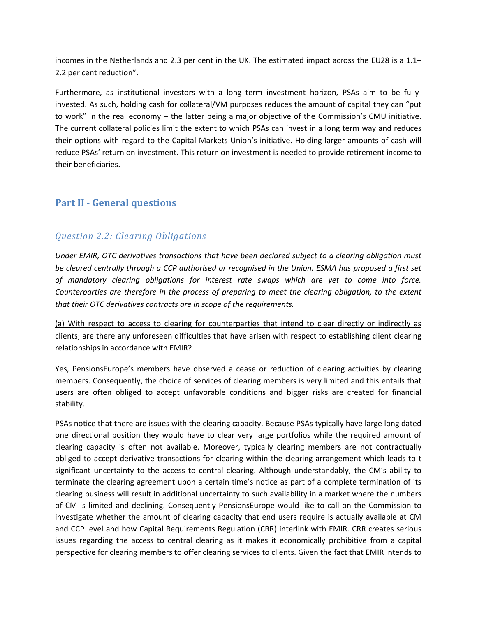incomes in the Netherlands and 2.3 per cent in the UK. The estimated impact across the EU28 is a 1.1– 2.2 per cent reduction".

Furthermore, as institutional investors with a long term investment horizon, PSAs aim to be fullyinvested. As such, holding cash for collateral/VM purposes reduces the amount of capital they can "put to work" in the real economy – the latter being a major objective of the Commission's CMU initiative. The current collateral policies limit the extent to which PSAs can invest in a long term way and reduces their options with regard to the Capital Markets Union's initiative. Holding larger amounts of cash will reduce PSAs' return on investment. This return on investment is needed to provide retirement income to their beneficiaries.

## **Part II - General questions**

## *Question 2.2: Clearing Obligations*

*Under EMIR, OTC derivatives transactions that have been declared subject to a clearing obligation must be cleared centrally through a CCP authorised or recognised in the Union. ESMA has proposed a first set of mandatory clearing obligations for interest rate swaps which are yet to come into force. Counterparties are therefore in the process of preparing to meet the clearing obligation, to the extent that their OTC derivatives contracts are in scope of the requirements.*

(a) With respect to access to clearing for counterparties that intend to clear directly or indirectly as clients; are there any unforeseen difficulties that have arisen with respect to establishing client clearing relationships in accordance with EMIR?

Yes, PensionsEurope's members have observed a cease or reduction of clearing activities by clearing members. Consequently, the choice of services of clearing members is very limited and this entails that users are often obliged to accept unfavorable conditions and bigger risks are created for financial stability.

PSAs notice that there are issues with the clearing capacity. Because PSAs typically have large long dated one directional position they would have to clear very large portfolios while the required amount of clearing capacity is often not available. Moreover, typically clearing members are not contractually obliged to accept derivative transactions for clearing within the clearing arrangement which leads to t significant uncertainty to the access to central clearing. Although understandably, the CM's ability to terminate the clearing agreement upon a certain time's notice as part of a complete termination of its clearing business will result in additional uncertainty to such availability in a market where the numbers of CM is limited and declining. Consequently PensionsEurope would like to call on the Commission to investigate whether the amount of clearing capacity that end users require is actually available at CM and CCP level and how Capital Requirements Regulation (CRR) interlink with EMIR. CRR creates serious issues regarding the access to central clearing as it makes it economically prohibitive from a capital perspective for clearing members to offer clearing services to clients. Given the fact that EMIR intends to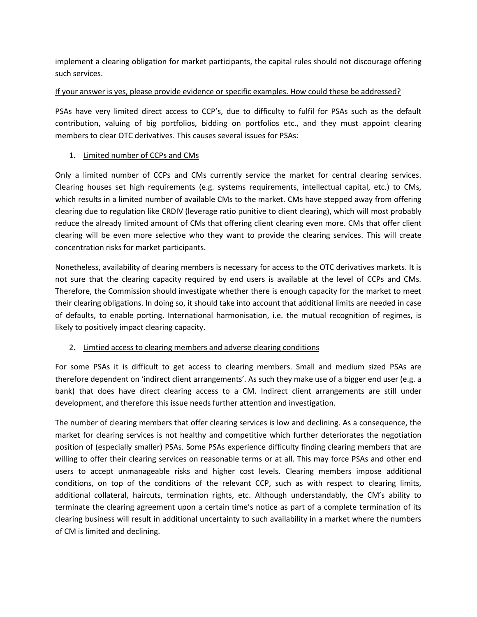implement a clearing obligation for market participants, the capital rules should not discourage offering such services.

### If your answer is yes, please provide evidence or specific examples. How could these be addressed?

PSAs have very limited direct access to CCP's, due to difficulty to fulfil for PSAs such as the default contribution, valuing of big portfolios, bidding on portfolios etc., and they must appoint clearing members to clear OTC derivatives. This causes several issues for PSAs:

### 1. Limited number of CCPs and CMs

Only a limited number of CCPs and CMs currently service the market for central clearing services. Clearing houses set high requirements (e.g. systems requirements, intellectual capital, etc.) to CMs, which results in a limited number of available CMs to the market. CMs have stepped away from offering clearing due to regulation like CRDIV (leverage ratio punitive to client clearing), which will most probably reduce the already limited amount of CMs that offering client clearing even more. CMs that offer client clearing will be even more selective who they want to provide the clearing services. This will create concentration risks for market participants.

Nonetheless, availability of clearing members is necessary for access to the OTC derivatives markets. It is not sure that the clearing capacity required by end users is available at the level of CCPs and CMs. Therefore, the Commission should investigate whether there is enough capacity for the market to meet their clearing obligations. In doing so, it should take into account that additional limits are needed in case of defaults, to enable porting. International harmonisation, i.e. the mutual recognition of regimes, is likely to positively impact clearing capacity.

### 2. Limtied access to clearing members and adverse clearing conditions

For some PSAs it is difficult to get access to clearing members. Small and medium sized PSAs are therefore dependent on 'indirect client arrangements'. As such they make use of a bigger end user (e.g. a bank) that does have direct clearing access to a CM. Indirect client arrangements are still under development, and therefore this issue needs further attention and investigation.

The number of clearing members that offer clearing services is low and declining. As a consequence, the market for clearing services is not healthy and competitive which further deteriorates the negotiation position of (especially smaller) PSAs. Some PSAs experience difficulty finding clearing members that are willing to offer their clearing services on reasonable terms or at all. This may force PSAs and other end users to accept unmanageable risks and higher cost levels. Clearing members impose additional conditions, on top of the conditions of the relevant CCP, such as with respect to clearing limits, additional collateral, haircuts, termination rights, etc. Although understandably, the CM's ability to terminate the clearing agreement upon a certain time's notice as part of a complete termination of its clearing business will result in additional uncertainty to such availability in a market where the numbers of CM is limited and declining.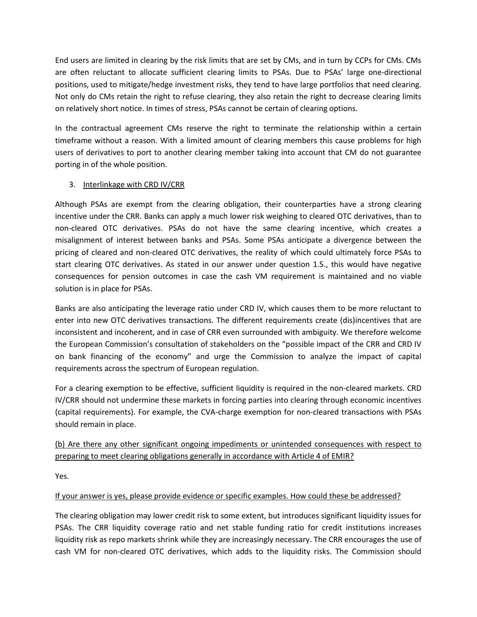End users are limited in clearing by the risk limits that are set by CMs, and in turn by CCPs for CMs. CMs are often reluctant to allocate sufficient clearing limits to PSAs. Due to PSAs' large one-directional positions, used to mitigate/hedge investment risks, they tend to have large portfolios that need clearing. Not only do CMs retain the right to refuse clearing, they also retain the right to decrease clearing limits on relatively short notice. In times of stress, PSAs cannot be certain of clearing options.

In the contractual agreement CMs reserve the right to terminate the relationship within a certain timeframe without a reason. With a limited amount of clearing members this cause problems for high users of derivatives to port to another clearing member taking into account that CM do not guarantee porting in of the whole position.

### 3. Interlinkage with CRD IV/CRR

Although PSAs are exempt from the clearing obligation, their counterparties have a strong clearing incentive under the CRR. Banks can apply a much lower risk weighing to cleared OTC derivatives, than to non-cleared OTC derivatives. PSAs do not have the same clearing incentive, which creates a misalignment of interest between banks and PSAs. Some PSAs anticipate a divergence between the pricing of cleared and non-cleared OTC derivatives, the reality of which could ultimately force PSAs to start clearing OTC derivatives. As stated in our answer under question 1.5., this would have negative consequences for pension outcomes in case the cash VM requirement is maintained and no viable solution is in place for PSAs.

Banks are also anticipating the leverage ratio under CRD IV, which causes them to be more reluctant to enter into new OTC derivatives transactions. The different requirements create (dis)incentives that are inconsistent and incoherent, and in case of CRR even surrounded with ambiguity. We therefore welcome the European Commission's consultation of stakeholders on the "possible impact of the CRR and CRD IV on bank financing of the economy" and urge the Commission to analyze the impact of capital requirements across the spectrum of European regulation.

For a clearing exemption to be effective, sufficient liquidity is required in the non-cleared markets. CRD IV/CRR should not undermine these markets in forcing parties into clearing through economic incentives (capital requirements). For example, the CVA-charge exemption for non-cleared transactions with PSAs should remain in place.

### (b) Are there any other significant ongoing impediments or unintended consequences with respect to preparing to meet clearing obligations generally in accordance with Article 4 of EMIR?

Yes.

### If your answer is yes, please provide evidence or specific examples. How could these be addressed?

The clearing obligation may lower credit risk to some extent, but introduces significant liquidity issues for PSAs. The CRR liquidity coverage ratio and net stable funding ratio for credit institutions increases liquidity risk as repo markets shrink while they are increasingly necessary. The CRR encourages the use of cash VM for non-cleared OTC derivatives, which adds to the liquidity risks. The Commission should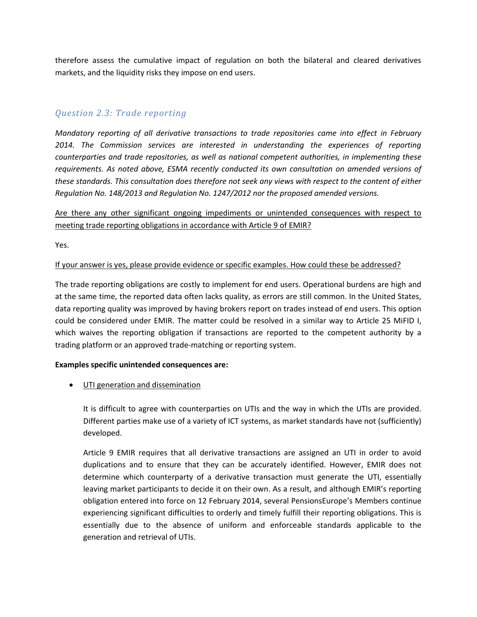therefore assess the cumulative impact of regulation on both the bilateral and cleared derivatives markets, and the liquidity risks they impose on end users.

### *Question 2.3: Trade reporting*

*Mandatory reporting of all derivative transactions to trade repositories came into effect in February*  2014. The Commission services are interested in understanding the experiences of reporting *counterparties and trade repositories, as well as national competent authorities, in implementing these requirements. As noted above, ESMA recently conducted its own consultation on amended versions of these standards. This consultation does therefore not seek any views with respect to the content of either Regulation No. 148/2013 and Regulation No. 1247/2012 nor the proposed amended versions.*

### Are there any other significant ongoing impediments or unintended consequences with respect to meeting trade reporting obligations in accordance with Article 9 of EMIR?

Yes.

#### If your answer is yes, please provide evidence or specific examples. How could these be addressed?

The trade reporting obligations are costly to implement for end users. Operational burdens are high and at the same time, the reported data often lacks quality, as errors are still common. In the United States, data reporting quality was improved by having brokers report on trades instead of end users. This option could be considered under EMIR. The matter could be resolved in a similar way to Article 25 MiFID I, which waives the reporting obligation if transactions are reported to the competent authority by a trading platform or an approved trade-matching or reporting system.

#### **Examples specific unintended consequences are:**

UTI generation and dissemination

It is difficult to agree with counterparties on UTIs and the way in which the UTIs are provided. Different parties make use of a variety of ICT systems, as market standards have not (sufficiently) developed.

Article 9 EMIR requires that all derivative transactions are assigned an UTI in order to avoid duplications and to ensure that they can be accurately identified. However, EMIR does not determine which counterparty of a derivative transaction must generate the UTI, essentially leaving market participants to decide it on their own. As a result, and although EMIR's reporting obligation entered into force on 12 February 2014, several PensionsEurope's Members continue experiencing significant difficulties to orderly and timely fulfill their reporting obligations. This is essentially due to the absence of uniform and enforceable standards applicable to the generation and retrieval of UTIs.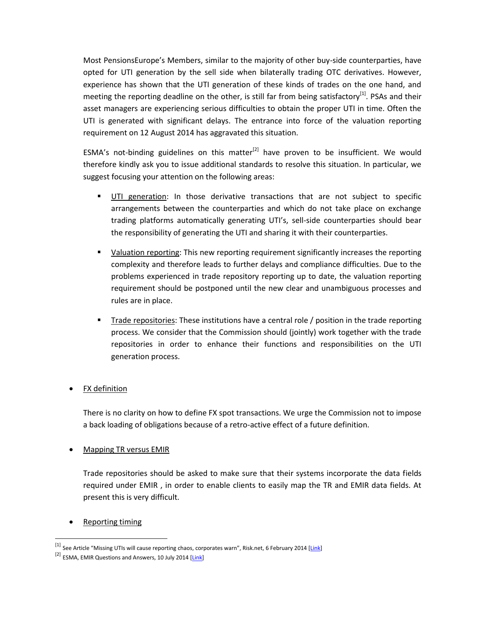Most PensionsEurope's Members, similar to the majority of other buy-side counterparties, have opted for UTI generation by the sell side when bilaterally trading OTC derivatives. However, experience has shown that the UTI generation of these kinds of trades on the one hand, and meeting the reporting deadline on the other, is still far from being satisfactory<sup>[1]</sup>. PSAs and their asset managers are experiencing serious difficulties to obtain the proper UTI in time. Often the UTI is generated with significant delays. The entrance into force of the valuation reporting requirement on 12 August 2014 has aggravated this situation.

ESMA's not-binding guidelines on this matter<sup>[2]</sup> have proven to be insufficient. We would therefore kindly ask you to issue additional standards to resolve this situation. In particular, we suggest focusing your attention on the following areas:

- UTI generation: In those derivative transactions that are not subject to specific arrangements between the counterparties and which do not take place on exchange trading platforms automatically generating UTI's, sell-side counterparties should bear the responsibility of generating the UTI and sharing it with their counterparties.
- **Diamage 1** Valuation reporting: This new reporting requirement significantly increases the reporting complexity and therefore leads to further delays and compliance difficulties. Due to the problems experienced in trade repository reporting up to date, the valuation reporting requirement should be postponed until the new clear and unambiguous processes and rules are in place.
- **Trade repositories:** These institutions have a central role / position in the trade reporting process. We consider that the Commission should (jointly) work together with the trade repositories in order to enhance their functions and responsibilities on the UTI generation process.

### FX definition

There is no clarity on how to define FX spot transactions. We urge the Commission not to impose a back loading of obligations because of a retro-active effect of a future definition.

### Mapping TR versus EMIR

Trade repositories should be asked to make sure that their systems incorporate the data fields required under EMIR , in order to enable clients to easily map the TR and EMIR data fields. At present this is very difficult.

#### Reporting timing

 $\overline{a}$ 

<sup>&</sup>lt;sup>[1]</sup> See Article "Missing UTIs will cause reporting chaos, corporates warn", Risk.net, 6 February 2014 [\[Link\]](http://www.risk.net/risk-magazine/news/2326870/missing-utis-will-cause-reporting-chaos-corporates-warn)

<sup>&</sup>lt;sup>[2]</sup> ESMA, EMIR Questions and Answers, 10 July 2014 [\[Link\]](http://www.esma.europa.eu/system/files/2014-815.pdf)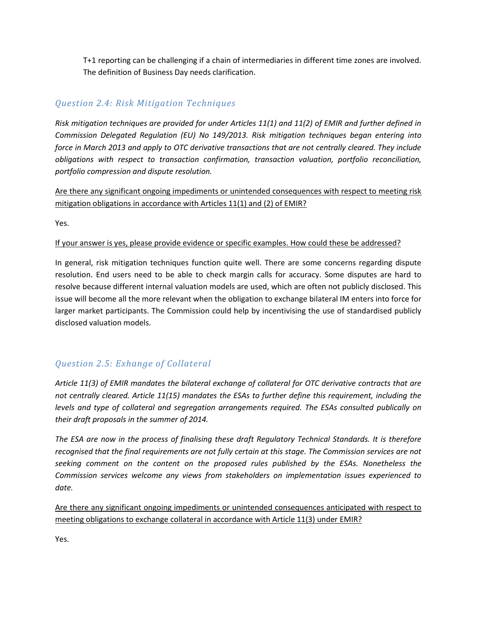T+1 reporting can be challenging if a chain of intermediaries in different time zones are involved. The definition of Business Day needs clarification.

## *Question 2.4: Risk Mitigation Techniques*

*Risk mitigation techniques are provided for under Articles 11(1) and 11(2) of EMIR and further defined in Commission Delegated Regulation (EU) No 149/2013. Risk mitigation techniques began entering into force in March 2013 and apply to OTC derivative transactions that are not centrally cleared. They include obligations with respect to transaction confirmation, transaction valuation, portfolio reconciliation, portfolio compression and dispute resolution.*

Are there any significant ongoing impediments or unintended consequences with respect to meeting risk mitigation obligations in accordance with Articles 11(1) and (2) of EMIR?

Yes.

### If your answer is yes, please provide evidence or specific examples. How could these be addressed?

In general, risk mitigation techniques function quite well. There are some concerns regarding dispute resolution. End users need to be able to check margin calls for accuracy. Some disputes are hard to resolve because different internal valuation models are used, which are often not publicly disclosed. This issue will become all the more relevant when the obligation to exchange bilateral IM enters into force for larger market participants. The Commission could help by incentivising the use of standardised publicly disclosed valuation models.

## *Question 2.5: Exhange of Collateral*

*Article 11(3) of EMIR mandates the bilateral exchange of collateral for OTC derivative contracts that are not centrally cleared. Article 11(15) mandates the ESAs to further define this requirement, including the levels and type of collateral and segregation arrangements required. The ESAs consulted publically on their draft proposals in the summer of 2014.*

*The ESA are now in the process of finalising these draft Regulatory Technical Standards. It is therefore recognised that the final requirements are not fully certain at this stage. The Commission services are not seeking comment on the content on the proposed rules published by the ESAs. Nonetheless the Commission services welcome any views from stakeholders on implementation issues experienced to date.*

Are there any significant ongoing impediments or unintended consequences anticipated with respect to meeting obligations to exchange collateral in accordance with Article 11(3) under EMIR?

Yes.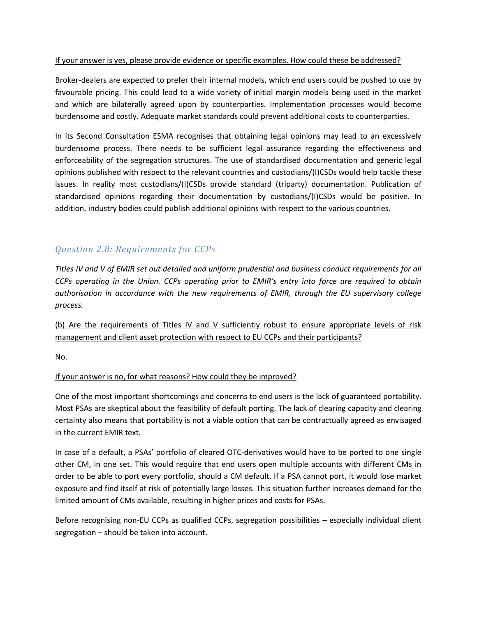#### If your answer is yes, please provide evidence or specific examples. How could these be addressed?

Broker-dealers are expected to prefer their internal models, which end users could be pushed to use by favourable pricing. This could lead to a wide variety of initial margin models being used in the market and which are bilaterally agreed upon by counterparties. Implementation processes would become burdensome and costly. Adequate market standards could prevent additional costs to counterparties.

In its Second Consultation ESMA recognises that obtaining legal opinions may lead to an excessively burdensome process. There needs to be sufficient legal assurance regarding the effectiveness and enforceability of the segregation structures. The use of standardised documentation and generic legal opinions published with respect to the relevant countries and custodians/(I)CSDs would help tackle these issues. In reality most custodians/(I)CSDs provide standard (triparty) documentation. Publication of standardised opinions regarding their documentation by custodians/(I)CSDs would be positive. In addition, industry bodies could publish additional opinions with respect to the various countries.

### *Question 2.8: Requirements for CCPs*

*Titles IV and V of EMIR set out detailed and uniform prudential and business conduct requirements for all CCPs operating in the Union. CCPs operating prior to EMIR's entry into force are required to obtain authorisation in accordance with the new requirements of EMIR, through the EU supervisory college process.*

(b) Are the requirements of Titles IV and V sufficiently robust to ensure appropriate levels of risk management and client asset protection with respect to EU CCPs and their participants?

No.

### If your answer is no, for what reasons? How could they be improved?

One of the most important shortcomings and concerns to end users is the lack of guaranteed portability. Most PSAs are skeptical about the feasibility of default porting. The lack of clearing capacity and clearing certainty also means that portability is not a viable option that can be contractually agreed as envisaged in the current EMIR text.

In case of a default, a PSAs' portfolio of cleared OTC-derivatives would have to be ported to one single other CM, in one set. This would require that end users open multiple accounts with different CMs in order to be able to port every portfolio, should a CM default. If a PSA cannot port, it would lose market exposure and find itself at risk of potentially large losses. This situation further increases demand for the limited amount of CMs available, resulting in higher prices and costs for PSAs.

Before recognising non-EU CCPs as qualified CCPs, segregation possibilities – especially individual client segregation – should be taken into account.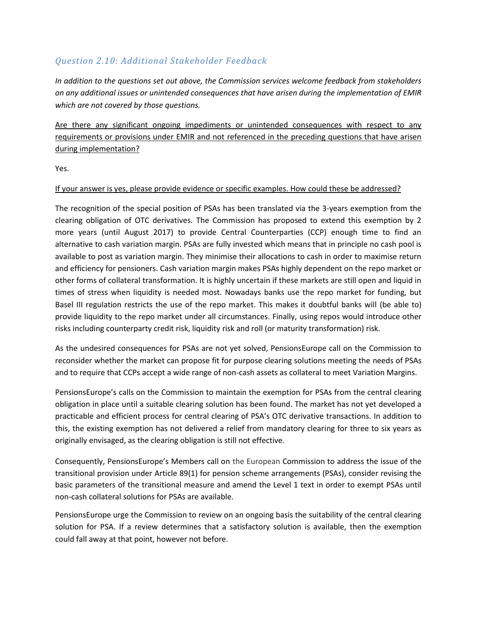## *Question 2.10: Additional Stakeholder Feedback*

*In addition to the questions set out above, the Commission services welcome feedback from stakeholders on any additional issues or unintended consequences that have arisen during the implementation of EMIR which are not covered by those questions.*

Are there any significant ongoing impediments or unintended consequences with respect to any requirements or provisions under EMIR and not referenced in the preceding questions that have arisen during implementation?

Yes.

### If your answer is yes, please provide evidence or specific examples. How could these be addressed?

The recognition of the special position of PSAs has been translated via the 3-years exemption from the clearing obligation of OTC derivatives. The Commission has proposed to extend this exemption by 2 more years (until August 2017) to provide Central Counterparties (CCP) enough time to find an alternative to cash variation margin. PSAs are fully invested which means that in principle no cash pool is available to post as variation margin. They minimise their allocations to cash in order to maximise return and efficiency for pensioners. Cash variation margin makes PSAs highly dependent on the repo market or other forms of collateral transformation. It is highly uncertain if these markets are still open and liquid in times of stress when liquidity is needed most. Nowadays banks use the repo market for funding, but Basel III regulation restricts the use of the repo market. This makes it doubtful banks will (be able to) provide liquidity to the repo market under all circumstances. Finally, using repos would introduce other risks including counterparty credit risk, liquidity risk and roll (or maturity transformation) risk.

As the undesired consequences for PSAs are not yet solved, PensionsEurope call on the Commission to reconsider whether the market can propose fit for purpose clearing solutions meeting the needs of PSAs and to require that CCPs accept a wide range of non-cash assets as collateral to meet Variation Margins.

PensionsEurope's calls on the Commission to maintain the exemption for PSAs from the central clearing obligation in place until a suitable clearing solution has been found. The market has not yet developed a practicable and efficient process for central clearing of PSA's OTC derivative transactions. In addition to this, the existing exemption has not delivered a relief from mandatory clearing for three to six years as originally envisaged, as the clearing obligation is still not effective.

Consequently, PensionsEurope's Members call on the European Commission to address the issue of the transitional provision under Article 89(1) for pension scheme arrangements (PSAs), consider revising the basic parameters of the transitional measure and amend the Level 1 text in order to exempt PSAs until non-cash collateral solutions for PSAs are available.

PensionsEurope urge the Commission to review on an ongoing basis the suitability of the central clearing solution for PSA. If a review determines that a satisfactory solution is available, then the exemption could fall away at that point, however not before.